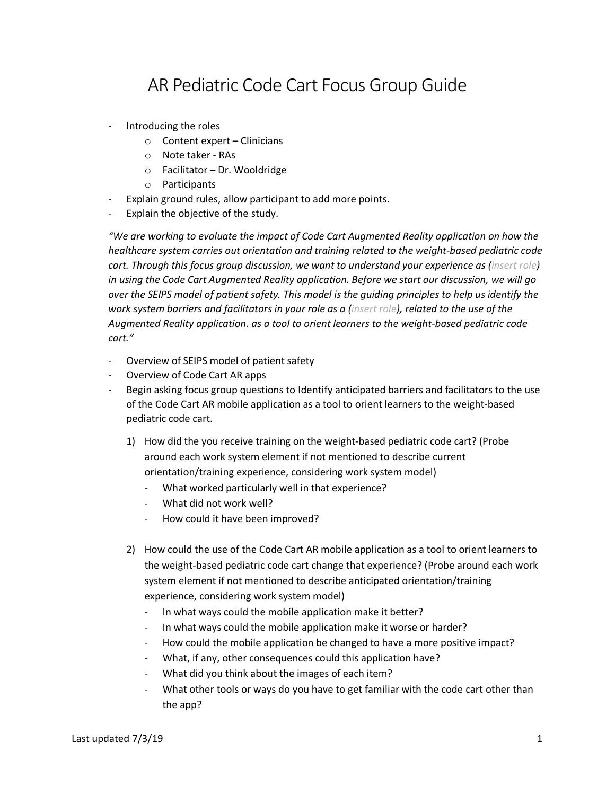## AR Pediatric Code Cart Focus Group Guide

- Introducing the roles
	- o Content expert Clinicians
	- o Note taker RAs
	- o Facilitator Dr. Wooldridge
	- o Participants
- Explain ground rules, allow participant to add more points.
- Explain the objective of the study.

*"We are working to evaluate the impact of Code Cart Augmented Reality application on how the healthcare system carries out orientation and training related to the weight-based pediatric code cart. Through this focus group discussion, we want to understand your experience as (insert role) in using the Code Cart Augmented Reality application. Before we start our discussion, we will go over the SEIPS model of patient safety. This model is the guiding principles to help us identify the work system barriers and facilitators in your role as a (insert role), related to the use of the Augmented Reality application. as a tool to orient learners to the weight-based pediatric code cart."*

- Overview of SEIPS model of patient safety
- Overview of Code Cart AR apps
- Begin asking focus group questions to Identify anticipated barriers and facilitators to the use of the Code Cart AR mobile application as a tool to orient learners to the weight-based pediatric code cart.
	- 1) How did the you receive training on the weight-based pediatric code cart? (Probe around each work system element if not mentioned to describe current orientation/training experience, considering work system model)
		- What worked particularly well in that experience?
		- What did not work well?
		- How could it have been improved?
	- 2) How could the use of the Code Cart AR mobile application as a tool to orient learners to the weight-based pediatric code cart change that experience? (Probe around each work system element if not mentioned to describe anticipated orientation/training experience, considering work system model)
		- In what ways could the mobile application make it better?
		- In what ways could the mobile application make it worse or harder?
		- How could the mobile application be changed to have a more positive impact?
		- What, if any, other consequences could this application have?
		- What did you think about the images of each item?
		- What other tools or ways do you have to get familiar with the code cart other than the app?